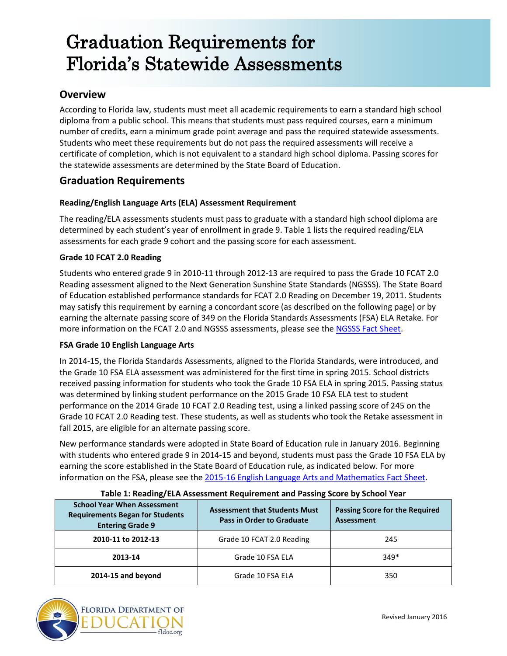# Graduation Requirements for Florida's Statewide Assessments

## **Overview**

According to Florida law, students must meet all academic requirements to earn a standard high school diploma from a public school. This means that students must pass required courses, earn a minimum number of credits, earn a minimum grade point average and pass the required statewide assessments. Students who meet these requirements but do not pass the required assessments will receive a certificate of completion, which is not equivalent to a standard high school diploma. Passing scores for the statewide assessments are determined by the State Board of Education.

## **Graduation Requirements**

#### **Reading/English Language Arts (ELA) Assessment Requirement**

The reading/ELA assessments students must pass to graduate with a standard high school diploma are determined by each student's year of enrollment in grade 9. Table 1 lists the required reading/ELA assessments for each grade 9 cohort and the passing score for each assessment.

#### **Grade 10 FCAT 2.0 Reading**

Students who entered grade 9 in 2010-11 through 2012-13 are required to pass the Grade 10 FCAT 2.0 Reading assessment aligned to the Next Generation Sunshine State Standards (NGSSS). The State Board of Education established performance standards for FCAT 2.0 Reading on December 19, 2011. Students may satisfy this requirement by earning a concordant score (as described on the following page) or by earning the alternate passing score of 349 on the Florida Standards Assessments (FSA) ELA Retake. For more information on the FCAT 2.0 and NGSSS assessments, please see th[e NGSSS Fact Sheet.](http://www.fldoe.org/core/fileparse.php/5423/urlt/FCAT2FS2014-15.pdf)

#### **FSA Grade 10 English Language Arts**

In 2014-15, the Florida Standards Assessments, aligned to the Florida Standards, were introduced, and the Grade 10 FSA ELA assessment was administered for the first time in spring 2015. School districts received passing information for students who took the Grade 10 FSA ELA in spring 2015. Passing status was determined by linking student performance on the 2015 Grade 10 FSA ELA test to student performance on the 2014 Grade 10 FCAT 2.0 Reading test, using a linked passing score of 245 on the Grade 10 FCAT 2.0 Reading test. These students, as well as students who took the Retake assessment in fall 2015, are eligible for an alternate passing score.

New performance standards were adopted in State Board of Education rule in January 2016. Beginning with students who entered grade 9 in 2014-15 and beyond, students must pass the Grade 10 FSA ELA by earning the score established in the State Board of Education rule, as indicated below. For more information on the FSA, please see the [2015-16 English Language Arts and Mathematics Fact Sheet.](http://www.fldoe.org/core/fileparse.php/5663/urlt/ELA-MathFSAFS1516.pdf)

| <b>School Year When Assessment</b><br><b>Requirements Began for Students</b><br><b>Entering Grade 9</b> | <b>Assessment that Students Must</b><br><b>Pass in Order to Graduate</b> | <b>Passing Score for the Required</b><br><b>Assessment</b> |  |
|---------------------------------------------------------------------------------------------------------|--------------------------------------------------------------------------|------------------------------------------------------------|--|
| 2010-11 to 2012-13                                                                                      | Grade 10 FCAT 2.0 Reading                                                | 245                                                        |  |
| 2013-14                                                                                                 | Grade 10 FSA ELA                                                         | $349*$                                                     |  |
| 2014-15 and beyond                                                                                      | Grade 10 FSA ELA                                                         | 350                                                        |  |

#### **Table 1: Reading/ELA Assessment Requirement and Passing Score by School Year**

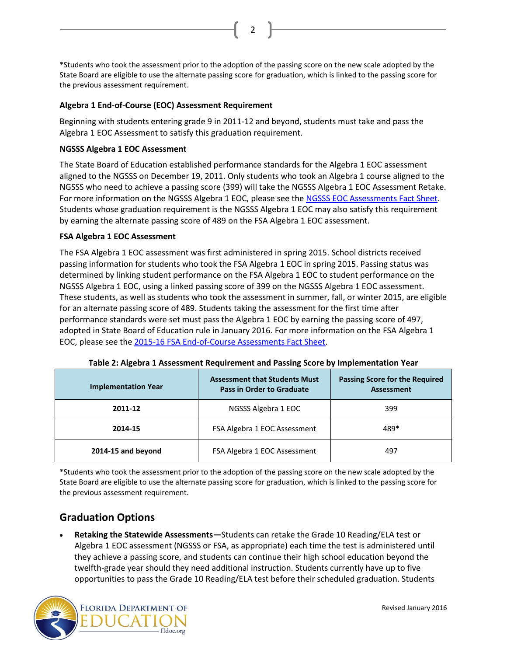\*Students who took the assessment prior to the adoption of the passing score on the new scale adopted by the State Board are eligible to use the alternate passing score for graduation, which is linked to the passing score for the previous assessment requirement.

2

#### **Algebra 1 End-of-Course (EOC) Assessment Requirement**

Beginning with students entering grade 9 in 2011-12 and beyond, students must take and pass the Algebra 1 EOC Assessment to satisfy this graduation requirement.

#### **NGSSS Algebra 1 EOC Assessment**

The State Board of Education established performance standards for the Algebra 1 EOC assessment aligned to the NGSSS on December 19, 2011. Only students who took an Algebra 1 course aligned to the NGSSS who need to achieve a passing score (399) will take the NGSSS Algebra 1 EOC Assessment Retake. For more information on the NGSSS Algebra 1 EOC, please see th[e NGSSS EOC Assessments Fact Sheet.](http://www.fldoe.org/core/fileparse.php/5423/urlt/NGSSSEOCFS2014-15.pdf) Students whose graduation requirement is the NGSSS Algebra 1 EOC may also satisfy this requirement by earning the alternate passing score of 489 on the FSA Algebra 1 EOC assessment.

#### **FSA Algebra 1 EOC Assessment**

The FSA Algebra 1 EOC assessment was first administered in spring 2015. School districts received passing information for students who took the FSA Algebra 1 EOC in spring 2015. Passing status was determined by linking student performance on the FSA Algebra 1 EOC to student performance on the NGSSS Algebra 1 EOC, using a linked passing score of 399 on the NGSSS Algebra 1 EOC assessment. These students, as well as students who took the assessment in summer, fall, or winter 2015, are eligible for an alternate passing score of 489. Students taking the assessment for the first time after performance standards were set must pass the Algebra 1 EOC by earning the passing score of 497, adopted in State Board of Education rule in January 2016. For more information on the FSA Algebra 1 EOC, please see the [2015-16 FSA End-of-Course Assessments Fact Sheet.](http://www.fldoe.org/core/fileparse.php/5663/urlt/FSAEOC1516.pdf)

| <b>Implementation Year</b> | <b>Assessment that Students Must</b><br><b>Pass in Order to Graduate</b> | <b>Passing Score for the Required</b><br>Assessment |
|----------------------------|--------------------------------------------------------------------------|-----------------------------------------------------|
| 2011-12                    | NGSSS Algebra 1 EOC                                                      | 399                                                 |
| 2014-15                    | FSA Algebra 1 EOC Assessment                                             | 489*                                                |
| 2014-15 and beyond         | FSA Algebra 1 EOC Assessment                                             | 497                                                 |

**Table 2: Algebra 1 Assessment Requirement and Passing Score by Implementation Year** 

\*Students who took the assessment prior to the adoption of the passing score on the new scale adopted by the State Board are eligible to use the alternate passing score for graduation, which is linked to the passing score for the previous assessment requirement.

# **Graduation Options**

 **Retaking the Statewide Assessments—**Students can retake the Grade 10 Reading/ELA test or Algebra 1 EOC assessment (NGSSS or FSA, as appropriate) each time the test is administered until they achieve a passing score, and students can continue their high school education beyond the twelfth-grade year should they need additional instruction. Students currently have up to five opportunities to pass the Grade 10 Reading/ELA test before their scheduled graduation. Students

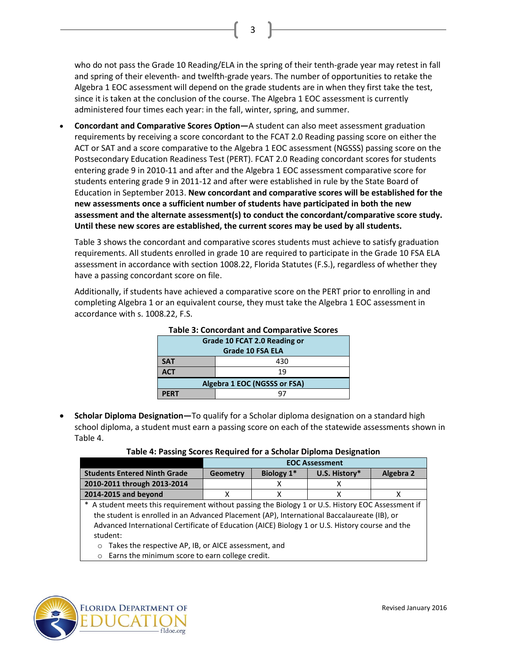who do not pass the Grade 10 Reading/ELA in the spring of their tenth-grade year may retest in fall and spring of their eleventh- and twelfth-grade years. The number of opportunities to retake the Algebra 1 EOC assessment will depend on the grade students are in when they first take the test, since it is taken at the conclusion of the course. The Algebra 1 EOC assessment is currently administered four times each year: in the fall, winter, spring, and summer.

3

 **Concordant and Comparative Scores Option—**A student can also meet assessment graduation requirements by receiving a score concordant to the FCAT 2.0 Reading passing score on either the ACT or SAT and a score comparative to the Algebra 1 EOC assessment (NGSSS) passing score on the Postsecondary Education Readiness Test (PERT). FCAT 2.0 Reading concordant scores for students entering grade 9 in 2010-11 and after and the Algebra 1 EOC assessment comparative score for students entering grade 9 in 2011-12 and after were established in rule by the State Board of Education in September 2013. **New concordant and comparative scores will be established for the new assessments once a sufficient number of students have participated in both the new assessment and the alternate assessment(s) to conduct the concordant/comparative score study. Until these new scores are established, the current scores may be used by all students.**

Table 3 shows the concordant and comparative scores students must achieve to satisfy graduation requirements. All students enrolled in grade 10 are required to participate in the Grade 10 FSA ELA assessment in accordance with section 1008.22, Florida Statutes (F.S.), regardless of whether they have a passing concordant score on file.

Additionally, if students have achieved a comparative score on the PERT prior to enrolling in and completing Algebra 1 or an equivalent course, they must take the Algebra 1 EOC assessment in accordance with s. 1008.22, F.S.

| rapic 9. Concordant and Comparative Scores |     |  |
|--------------------------------------------|-----|--|
| Grade 10 FCAT 2.0 Reading or               |     |  |
| <b>Grade 10 FSA ELA</b>                    |     |  |
| <b>SAT</b>                                 | 430 |  |
| <b>ACT</b>                                 | 19  |  |
| Algebra 1 EOC (NGSSS or FSA)               |     |  |
| <b>PFRT</b>                                | 97  |  |

#### **Table 3: Concordant and Comparative Scores**

 **Scholar Diploma Designation—**To qualify for a Scholar diploma designation on a standard high school diploma, a student must earn a passing score on each of the statewide assessments shown in Table 4.

| Table 4: Passing Scores Required for a Scholar Diploma Designation |  |
|--------------------------------------------------------------------|--|
|--------------------------------------------------------------------|--|

|                                     | <b>EOC Assessment</b> |            |               |           |
|-------------------------------------|-----------------------|------------|---------------|-----------|
| <b>Students Entered Ninth Grade</b> | <b>Geometry</b>       | Biology 1* | U.S. History* | Algebra 2 |
| 2010-2011 through 2013-2014         |                       |            |               |           |
| 2014-2015 and bevond                |                       |            |               |           |

A student meets this requirement without passing the Biology 1 or U.S. History EOC Assessment if the student is enrolled in an Advanced Placement (AP), International Baccalaureate (IB), or Advanced International Certificate of Education (AICE) Biology 1 or U.S. History course and the student:

- o Takes the respective AP, IB, or AICE assessment, and
- o Earns the minimum score to earn college credit.

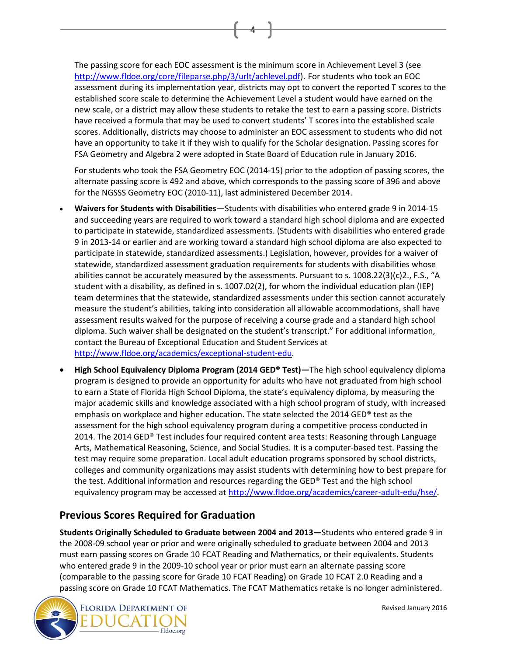The passing score for each EOC assessment is the minimum score in Achievement Level 3 (see [http://www.fldoe.org/core/fileparse.php/3/urlt/achlevel.pdf\)](http://www.fldoe.org/core/fileparse.php/3/urlt/achlevel.pdf). For students who took an EOC assessment during its implementation year, districts may opt to convert the reported T scores to the established score scale to determine the Achievement Level a student would have earned on the new scale, or a district may allow these students to retake the test to earn a passing score. Districts have received a formula that may be used to convert students' T scores into the established scale scores. Additionally, districts may choose to administer an EOC assessment to students who did not have an opportunity to take it if they wish to qualify for the Scholar designation. Passing scores for FSA Geometry and Algebra 2 were adopted in State Board of Education rule in January 2016.

4

For students who took the FSA Geometry EOC (2014-15) prior to the adoption of passing scores, the alternate passing score is 492 and above, which corresponds to the passing score of 396 and above for the NGSSS Geometry EOC (2010-11), last administered December 2014.

- **Waivers for Students with Disabilities**—Students with disabilities who entered grade 9 in 2014-15 and succeeding years are required to work toward a standard high school diploma and are expected to participate in statewide, standardized assessments. (Students with disabilities who entered grade 9 in 2013-14 or earlier and are working toward a standard high school diploma are also expected to participate in statewide, standardized assessments.) Legislation, however, provides for a waiver of statewide, standardized assessment graduation requirements for students with disabilities whose abilities cannot be accurately measured by the assessments. Pursuant to s. 1008.22(3)(c)2., F.S., "A student with a disability, as defined in s. 1007.02(2), for whom the individual education plan (IEP) team determines that the statewide, standardized assessments under this section cannot accurately measure the student's abilities, taking into consideration all allowable accommodations, shall have assessment results waived for the purpose of receiving a course grade and a standard high school diploma. Such waiver shall be designated on the student's transcript." For additional information, contact the Bureau of Exceptional Education and Student Services at [http://www.fldoe.org/academics/exceptional-student-edu.](http://www.fldoe.org/academics/exceptional-student-edu)
- **High School Equivalency Diploma Program (2014 GED® Test)—**The high school equivalency diploma program is designed to provide an opportunity for adults who have not graduated from high school to earn a State of Florida High School Diploma, the state's equivalency diploma, by measuring the major academic skills and knowledge associated with a high school program of study, with increased emphasis on workplace and higher education. The state selected the 2014 GED® test as the assessment for the high school equivalency program during a competitive process conducted in 2014. The 2014 GED® Test includes four required content area tests: Reasoning through Language Arts, Mathematical Reasoning, Science, and Social Studies. It is a computer-based test. Passing the test may require some preparation. Local adult education programs sponsored by school districts, colleges and community organizations may assist students with determining how to best prepare for the test. Additional information and resources regarding the GED® Test and the high school equivalency program may be accessed at [http://www.fldoe.org/academics/career-adult-edu/hse/.](http://www.fldoe.org/academics/career-adult-edu/hse/)

# **Previous Scores Required for Graduation**

**Students Originally Scheduled to Graduate between 2004 and 2013—**Students who entered grade 9 in the 2008-09 school year or prior and were originally scheduled to graduate between 2004 and 2013 must earn passing scores on Grade 10 FCAT Reading and Mathematics, or their equivalents. Students who entered grade 9 in the 2009-10 school year or prior must earn an alternate passing score (comparable to the passing score for Grade 10 FCAT Reading) on Grade 10 FCAT 2.0 Reading and a passing score on Grade 10 FCAT Mathematics. The FCAT Mathematics retake is no longer administered.